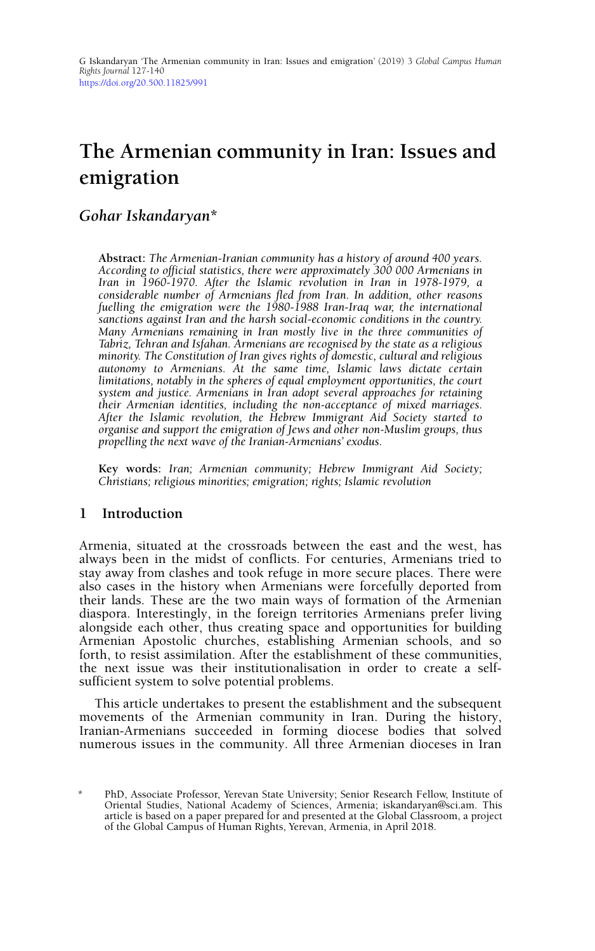# **The Armenian community in Iran: Issues and emigration**

## *Gohar Iskandaryan***\***

**Abstract:** *The Armenian-Iranian community has a history of around 400 years. According to official statistics, there were approximately 300 000 Armenians in Iran in 1960-1970. After the Islamic revolution in Iran in 1978-1979, a considerable number of Armenians fled from Iran. In addition, other reasons fuelling the emigration were the 1980-1988 Iran-Iraq war, the international sanctions against Iran and the harsh social-economic conditions in the country. Many Armenians remaining in Iran mostly live in the three communities of Tabriz, Tehran and Isfahan. Armenians are recognised by the state as a religious minority. The Constitution of Iran gives rights of domestic, cultural and religious autonomy to Armenians. At the same time, Islamic laws dictate certain limitations, notably in the spheres of equal employment opportunities, the court system and justice. Armenians in Iran adopt several approaches for retaining their Armenian identities, including the non-acceptance of mixed marriages. After the Islamic revolution, the Hebrew Immigrant Aid Society started to organise and support the emigration of Jews and other non-Muslim groups, thus propelling the next wave of the Iranian-Armenians' exodus.* 

**Key words:** *Iran; Armenian community; Hebrew Immigrant Aid Society; Christians; religious minorities; emigration; rights; Islamic revolution*

#### **1 Introduction**

Armenia, situated at the crossroads between the east and the west, has always been in the midst of conflicts. For centuries, Armenians tried to stay away from clashes and took refuge in more secure places. There were also cases in the history when Armenians were forcefully deported from their lands. These are the two main ways of formation of the Armenian diaspora. Interestingly, in the foreign territories Armenians prefer living alongside each other, thus creating space and opportunities for building Armenian Apostolic churches, establishing Armenian schools, and so forth, to resist assimilation. After the establishment of these communities, the next issue was their institutionalisation in order to create a selfsufficient system to solve potential problems.

This article undertakes to present the establishment and the subsequent movements of the Armenian community in Iran. During the history, Iranian-Armenians succeeded in forming diocese bodies that solved numerous issues in the community. All three Armenian dioceses in Iran

<sup>\*</sup> PhD, Associate Professor, Yerevan State University; Senior Research Fellow, Institute of Oriental Studies, National Academy of Sciences, Armenia; iskandaryan@sci.am. This article is based on a paper prepared for and presented at the Global Classroom, a project of the Global Campus of Human Rights, Yerevan, Armenia, in April 2018.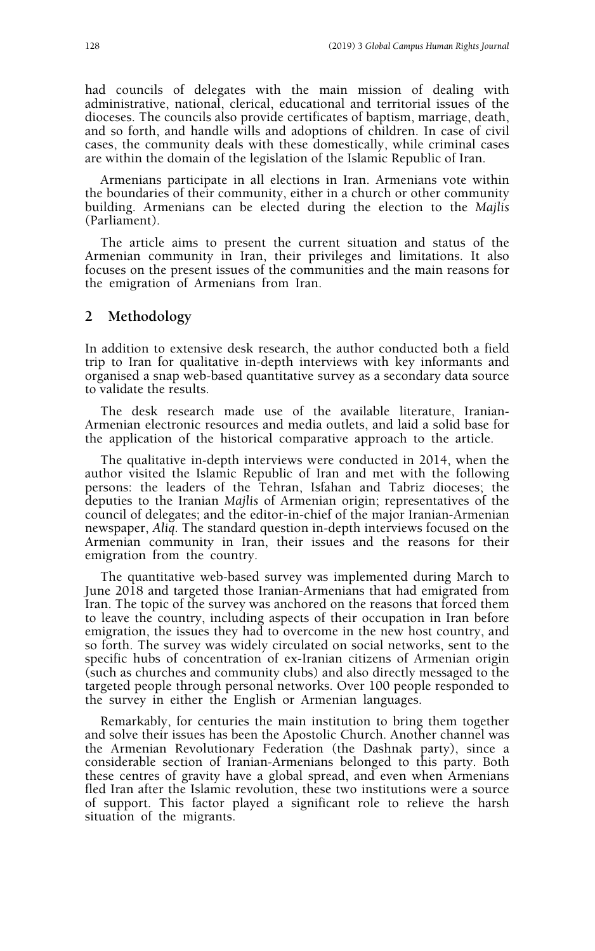had councils of delegates with the main mission of dealing with administrative, national, clerical, educational and territorial issues of the dioceses. The councils also provide certificates of baptism, marriage, death, and so forth, and handle wills and adoptions of children. In case of civil cases, the community deals with these domestically, while criminal cases are within the domain of the legislation of the Islamic Republic of Iran.

Armenians participate in all elections in Iran. Armenians vote within the boundaries of their community, either in a church or other community building. Armenians can be elected during the election to the *Majlis* (Parliament).

The article aims to present the current situation and status of the Armenian community in Iran, their privileges and limitations. It also focuses on the present issues of the communities and the main reasons for the emigration of Armenians from Iran.

#### **2 Methodology**

In addition to extensive desk research, the author conducted both a field trip to Iran for qualitative in-depth interviews with key informants and organised a snap web-based quantitative survey as a secondary data source to validate the results.

The desk research made use of the available literature, Iranian-Armenian electronic resources and media outlets, and laid a solid base for the application of the historical comparative approach to the article.

The qualitative in-depth interviews were conducted in 2014, when the author visited the Islamic Republic of Iran and met with the following persons: the leaders of the Tehran, Isfahan and Tabriz dioceses; the deputies to the Iranian *Majlis* of Armenian origin; representatives of the council of delegates; and the editor-in-chief of the major Iranian-Armenian newspaper, *Aliq*. The standard question in-depth interviews focused on the Armenian community in Iran, their issues and the reasons for their emigration from the country.

The quantitative web-based survey was implemented during March to June 2018 and targeted those Iranian-Armenians that had emigrated from Iran. The topic of the survey was anchored on the reasons that forced them to leave the country, including aspects of their occupation in Iran before emigration, the issues they had to overcome in the new host country, and so forth. The survey was widely circulated on social networks, sent to the specific hubs of concentration of ex-Iranian citizens of Armenian origin (such as churches and community clubs) and also directly messaged to the targeted people through personal networks. Over 100 people responded to the survey in either the English or Armenian languages.

Remarkably, for centuries the main institution to bring them together and solve their issues has been the Apostolic Church. Another channel was the Armenian Revolutionary Federation (the Dashnak party), since a considerable section of Iranian-Armenians belonged to this party. Both these centres of gravity have a global spread, and even when Armenians fled Iran after the Islamic revolution, these two institutions were a source of support. This factor played a significant role to relieve the harsh situation of the migrants.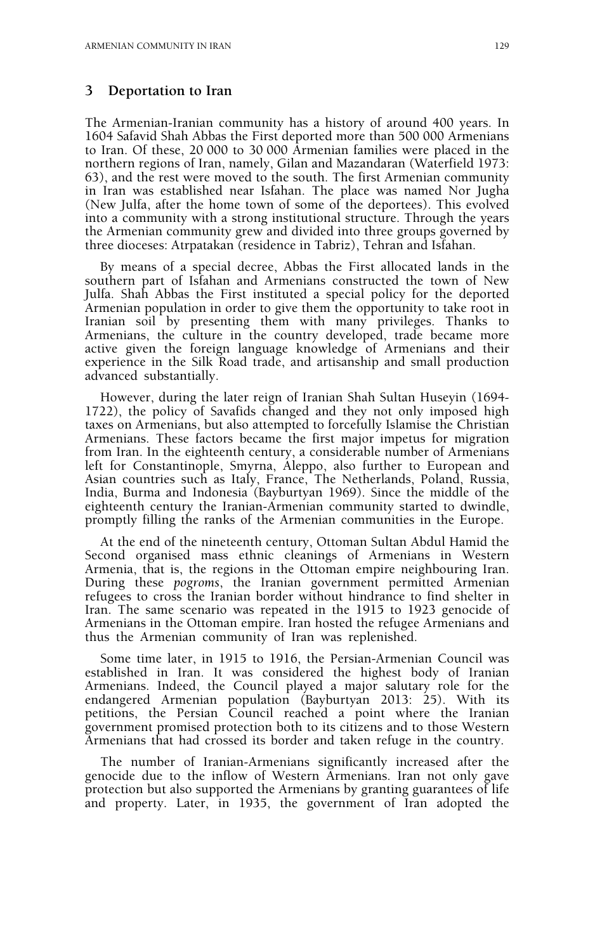#### **3 Deportation to Iran**

The Armenian-Iranian community has a history of around 400 years. In 1604 Safavid Shah Abbas the First deported more than 500 000 Armenians to Iran. Of these, 20 000 to 30 000 Armenian families were placed in the northern regions of Iran, namely, Gilan and Mazandaran (Waterfield 1973: 63), and the rest were moved to the south. The first Armenian community in Iran was established near Isfahan. The place was named Nor Jugha (New Julfa, after the home town of some of the deportees). This evolved into a community with a strong institutional structure. Through the years the Armenian community grew and divided into three groups governed by three dioceses: Atrpatakan (residence in Tabriz), Tehran and Isfahan.

By means of a special decree, Abbas the First allocated lands in the southern part of Isfahan and Armenians constructed the town of New Julfa. Shah Abbas the First instituted a special policy for the deported Armenian population in order to give them the opportunity to take root in Iranian soil by presenting them with many privileges. Thanks to Armenians, the culture in the country developed, trade became more active given the foreign language knowledge of Armenians and their experience in the Silk Road trade, and artisanship and small production advanced substantially.

However, during the later reign of Iranian Shah Sultan Huseyin (1694- 1722), the policy of Savafids changed and they not only imposed high taxes on Armenians, but also attempted to forcefully Islamise the Christian Armenians. These factors became the first major impetus for migration from Iran. In the eighteenth century, a considerable number of Armenians left for Constantinople, Smyrna, Aleppo, also further to European and Asian countries such as Italy, France, The Netherlands, Poland, Russia, India, Burma and Indonesia (Bayburtyan 1969). Since the middle of the eighteenth century the Iranian-Armenian community started to dwindle, promptly filling the ranks of the Armenian communities in the Europe.

At the end of the nineteenth century, Ottoman Sultan Abdul Hamid the Second organised mass ethnic cleanings of Armenians in Western Armenia, that is, the regions in the Ottoman empire neighbouring Iran. During these *pogroms*, the Iranian government permitted Armenian refugees to cross the Iranian border without hindrance to find shelter in Iran. The same scenario was repeated in the 1915 to 1923 genocide of Armenians in the Ottoman empire. Iran hosted the refugee Armenians and thus the Armenian community of Iran was replenished.

Some time later, in 1915 to 1916, the Persian-Armenian Council was established in Iran. It was considered the highest body of Iranian Armenians. Indeed, the Council played a major salutary role for the endangered Armenian population (Bayburtyan 2013: 25). With its petitions, the Persian Council reached a point where the Iranian government promised protection both to its citizens and to those Western Armenians that had crossed its border and taken refuge in the country.

The number of Iranian-Armenians significantly increased after the genocide due to the inflow of Western Armenians. Iran not only gave protection but also supported the Armenians by granting guarantees of life and property. Later, in 1935, the government of Iran adopted the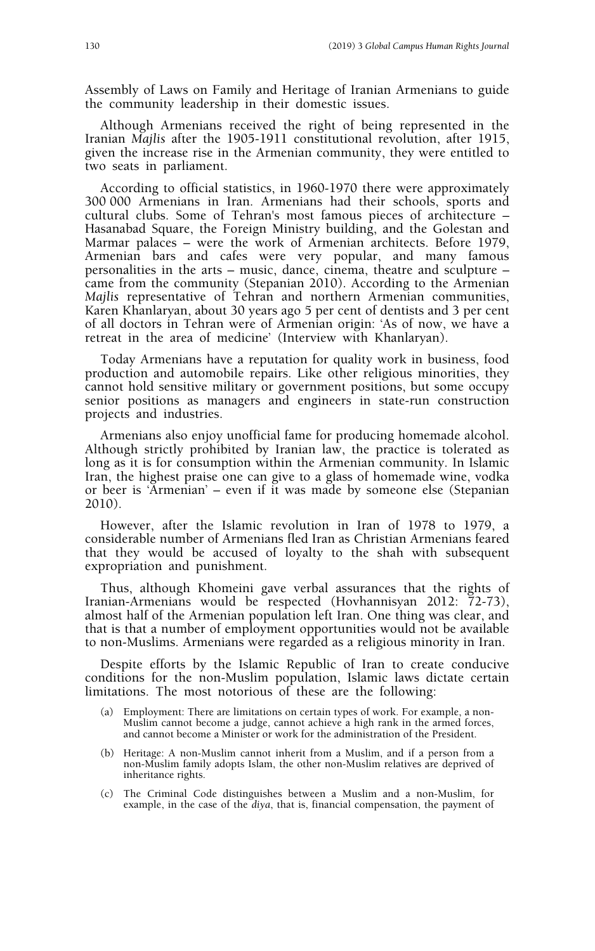Assembly of Laws on Family and Heritage of Iranian Armenians to guide the community leadership in their domestic issues.

Although Armenians received the right of being represented in the Iranian *Majlis* after the 1905-1911 constitutional revolution, after 1915, given the increase rise in the Armenian community, they were entitled to two seats in parliament.

According to official statistics, in 1960-1970 there were approximately 300 000 Armenians in Iran. Armenians had their schools, sports and cultural clubs. Some of Tehran's most famous pieces of architecture – Hasanabad Square, the Foreign Ministry building, and the Golestan and Marmar palaces – were the work of Armenian architects. Before 1979, Armenian bars and cafes were very popular, and many famous personalities in the arts – music, dance, cinema, theatre and sculpture – came from the community (Stepanian 2010). According to the Armenian *Majlis* representative of Tehran and northern Armenian communities, Karen Khanlaryan, about 30 years ago 5 per cent of dentists and 3 per cent of all doctors in Tehran were of Armenian origin: 'As of now, we have a retreat in the area of medicine' (Interview with Khanlaryan).

Today Armenians have a reputation for quality work in business, food production and automobile repairs. Like other religious minorities, they cannot hold sensitive military or government positions, but some occupy senior positions as managers and engineers in state-run construction projects and industries.

Armenians also enjoy unofficial fame for producing homemade alcohol. Although strictly prohibited by Iranian law, the practice is tolerated as long as it is for consumption within the Armenian community. In Islamic Iran, the highest praise one can give to a glass of homemade wine, vodka or beer is 'Armenian' – even if it was made by someone else (Stepanian 2010).

However, after the Islamic revolution in Iran of 1978 to 1979, a considerable number of Armenians fled Iran as Christian Armenians feared that they would be accused of loyalty to the shah with subsequent expropriation and punishment.

Thus, although Khomeini gave verbal assurances that the rights of Iranian-Armenians would be respected (Hovhannisyan 2012: 72-73), almost half of the Armenian population left Iran. One thing was clear, and that is that a number of employment opportunities would not be available to non-Muslims. Armenians were regarded as a religious minority in Iran.

Despite efforts by the Islamic Republic of Iran to create conducive conditions for the non-Muslim population, Islamic laws dictate certain limitations. The most notorious of these are the following:

- (a) Employment: There are limitations on certain types of work. For example, a non-Muslim cannot become a judge, cannot achieve a high rank in the armed forces, and cannot become a Minister or work for the administration of the President.
- (b) Heritage: A non-Muslim cannot inherit from a Muslim, and if a person from a non-Muslim family adopts Islam, the other non-Muslim relatives are deprived of inheritance rights.
- (c) The Criminal Code distinguishes between a Muslim and a non-Muslim, for example, in the case of the *diya*, that is, financial compensation, the payment of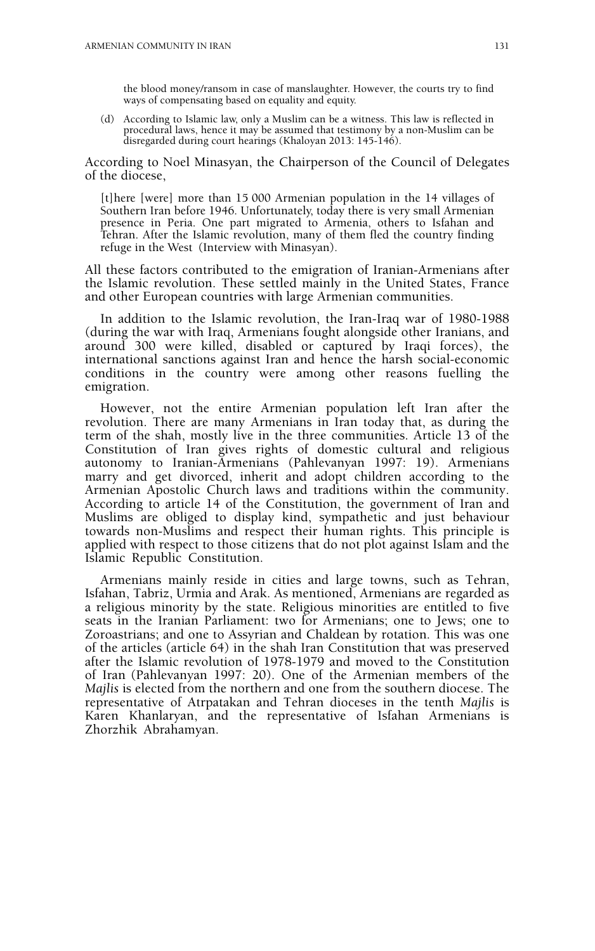the blood money/ransom in case of manslaughter. However, the courts try to find ways of compensating based on equality and equity.

(d) According to Islamic law, only a Muslim can be a witness. This law is reflected in procedural laws, hence it may be assumed that testimony by a non-Muslim can be disregarded during court hearings (Khaloyan 2013: 145-146).

According to Noel Minasyan, the Chairperson of the Council of Delegates of the diocese,

[t]here [were] more than 15 000 Armenian population in the 14 villages of Southern Iran before 1946. Unfortunately, today there is very small Armenian presence in Peria. One part migrated to Armenia, others to Isfahan and Tehran. After the Islamic revolution, many of them fled the country finding refuge in the West (Interview with Minasyan).

All these factors contributed to the emigration of Iranian-Armenians after the Islamic revolution. These settled mainly in the United States, France and other European countries with large Armenian communities.

In addition to the Islamic revolution, the Iran-Iraq war of 1980-1988 (during the war with Iraq, Armenians fought alongside other Iranians, and around 300 were killed, disabled or captured by Iraqi forces), the international sanctions against Iran and hence the harsh social-economic conditions in the country were among other reasons fuelling the emigration.

However, not the entire Armenian population left Iran after the revolution. There are many Armenians in Iran today that, as during the term of the shah, mostly live in the three communities. Article 13 of the Constitution of Iran gives rights of domestic cultural and religious autonomy to Iranian-Armenians (Pahlevanyan 1997: 19). Armenians marry and get divorced, inherit and adopt children according to the Armenian Apostolic Church laws and traditions within the community. According to article 14 of the Constitution, the government of Iran and Muslims are obliged to display kind, sympathetic and just behaviour towards non-Muslims and respect their human rights. This principle is applied with respect to those citizens that do not plot against Islam and the Islamic Republic Constitution.

Armenians mainly reside in cities and large towns, such as Tehran, Isfahan, Tabriz, Urmia and Arak. As mentioned, Armenians are regarded as a religious minority by the state. Religious minorities are entitled to five seats in the Iranian Parliament: two for Armenians; one to Jews; one to Zoroastrians; and one to Assyrian and Chaldean by rotation. This was one of the articles (article 64) in the shah Iran Constitution that was preserved after the Islamic revolution of 1978-1979 and moved to the Constitution of Iran (Pahlevanyan 1997: 20). One of the Armenian members of the *Majlis* is elected from the northern and one from the southern diocese. The representative of Atrpatakan and Tehran dioceses in the tenth *Majlis* is Karen Khanlaryan, and the representative of Isfahan Armenians is Zhorzhik Abrahamyan.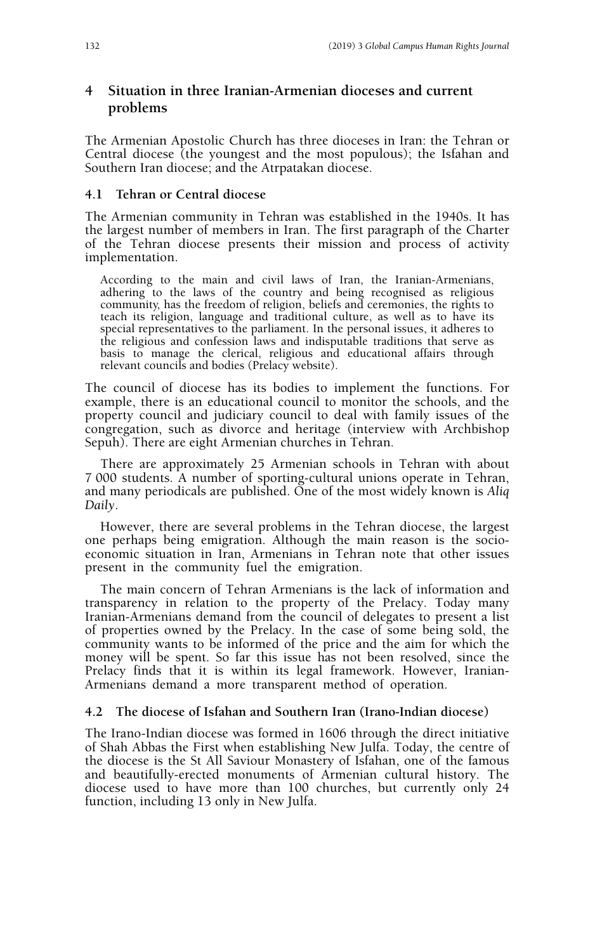## **4 Situation in three Iranian-Armenian dioceses and current problems**

The Armenian Apostolic Church has three dioceses in Iran: the Tehran or Central diocese (the youngest and the most populous); the Isfahan and Southern Iran diocese; and the Atrpatakan diocese.

#### **4.1 Tehran or Central diocese**

The Armenian community in Tehran was established in the 1940s. It has the largest number of members in Iran. The first paragraph of the Charter of the Tehran diocese presents their mission and process of activity implementation.

According to the main and civil laws of Iran, the Iranian-Armenians, adhering to the laws of the country and being recognised as religious community, has the freedom of religion, beliefs and ceremonies, the rights to teach its religion, language and traditional culture, as well as to have its special representatives to the parliament. In the personal issues, it adheres to the religious and confession laws and indisputable traditions that serve as basis to manage the clerical, religious and educational affairs through relevant councils and bodies (Prelacy website).

The council of diocese has its bodies to implement the functions. For example, there is an educational council to monitor the schools, and the property council and judiciary council to deal with family issues of the congregation, such as divorce and heritage (interview with Archbishop Sepuh). There are eight Armenian churches in Tehran.

There are approximately 25 Armenian schools in Tehran with about 7 000 students. A number of sporting-cultural unions operate in Tehran, and many periodicals are published. One of the most widely known is *Aliq Daily*.

However, there are several problems in the Tehran diocese, the largest one perhaps being emigration. Although the main reason is the socioeconomic situation in Iran, Armenians in Tehran note that other issues present in the community fuel the emigration.

The main concern of Tehran Armenians is the lack of information and transparency in relation to the property of the Prelacy. Today many Iranian-Armenians demand from the council of delegates to present a list of properties owned by the Prelacy. In the case of some being sold, the community wants to be informed of the price and the aim for which the money will be spent. So far this issue has not been resolved, since the Prelacy finds that it is within its legal framework. However, Iranian-Armenians demand a more transparent method of operation.

#### **4.2 The diocese of Isfahan and Southern Iran (Irano-Indian diocese)**

The Irano-Indian diocese was formed in 1606 through the direct initiative of Shah Abbas the First when establishing New Julfa. Today, the centre of the diocese is the St All Saviour Monastery of Isfahan, one of the famous and beautifully-erected monuments of Armenian cultural history. The diocese used to have more than 100 churches, but currently only 24 function, including 13 only in New Julfa.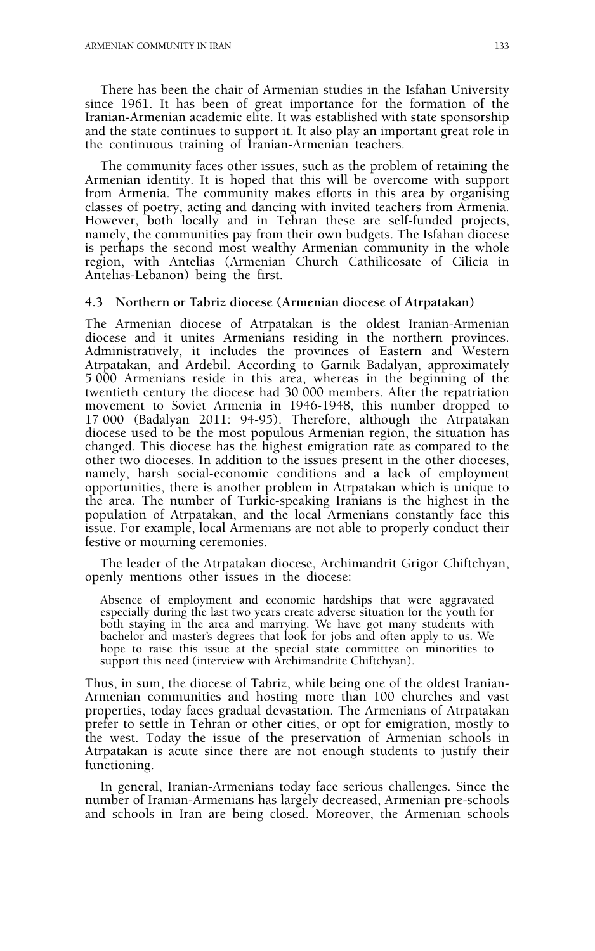There has been the chair of Armenian studies in the Isfahan University since 1961. It has been of great importance for the formation of the Iranian-Armenian academic elite. It was established with state sponsorship and the state continues to support it. It also play an important great role in the continuous training of Iranian-Armenian teachers.

The community faces other issues, such as the problem of retaining the Armenian identity. It is hoped that this will be overcome with support from Armenia. The community makes efforts in this area by organising classes of poetry, acting and dancing with invited teachers from Armenia. However, both locally and in Tehran these are self-funded projects, namely, the communities pay from their own budgets. The Isfahan diocese is perhaps the second most wealthy Armenian community in the whole region, with Antelias (Armenian Church Cathilicosate of Cilicia in Antelias-Lebanon) being the first.

#### **4.3 Northern or Tabriz diocese (Armenian diocese of Atrpatakan)**

The Armenian diocese of Atrpatakan is the oldest Iranian-Armenian diocese and it unites Armenians residing in the northern provinces. Administratively, it includes the provinces of Eastern and Western Atrpatakan, and Ardebil. According to Garnik Badalyan, approximately 5 000 Armenians reside in this area, whereas in the beginning of the twentieth century the diocese had 30 000 members. After the repatriation movement to Soviet Armenia in 1946-1948, this number dropped to 17 000 (Badalyan 2011: 94-95). Therefore, although the Atrpatakan diocese used to be the most populous Armenian region, the situation has changed. This diocese has the highest emigration rate as compared to the other two dioceses. In addition to the issues present in the other dioceses, namely, harsh social-economic conditions and a lack of employment opportunities, there is another problem in Atrpatakan which is unique to the area. The number of Turkic-speaking Iranians is the highest in the population of Atrpatakan, and the local Armenians constantly face this issue. For example, local Armenians are not able to properly conduct their festive or mourning ceremonies.

The leader of the Atrpatakan diocese, Archimandrit Grigor Chiftchyan, openly mentions other issues in the diocese:

Absence of employment and economic hardships that were aggravated especially during the last two years create adverse situation for the youth for both staying in the area and marrying. We have got many students with bachelor and master's degrees that look for jobs and often apply to us. We hope to raise this issue at the special state committee on minorities to support this need (interview with Archimandrite Chiftchyan).

Thus, in sum, the diocese of Tabriz, while being one of the oldest Iranian-Armenian communities and hosting more than 100 churches and vast properties, today faces gradual devastation. The Armenians of Atrpatakan prefer to settle in Tehran or other cities, or opt for emigration, mostly to the west. Today the issue of the preservation of Armenian schools in Atrpatakan is acute since there are not enough students to justify their functioning.

In general, Iranian-Armenians today face serious challenges. Since the number of Iranian-Armenians has largely decreased, Armenian pre-schools and schools in Iran are being closed. Moreover, the Armenian schools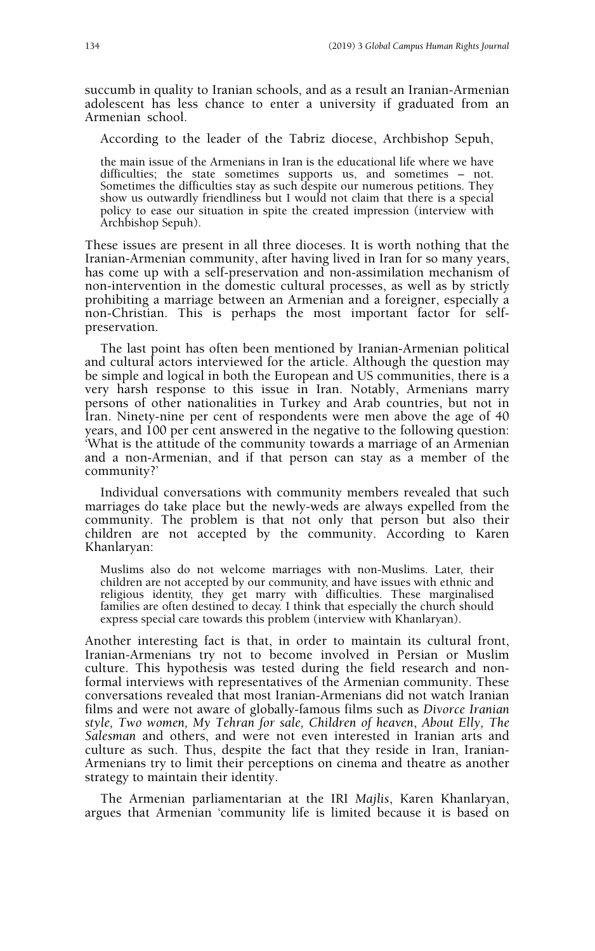succumb in quality to Iranian schools, and as a result an Iranian-Armenian adolescent has less chance to enter a university if graduated from an Armenian school.

According to the leader of the Tabriz diocese, Archbishop Sepuh,

the main issue of the Armenians in Iran is the educational life where we have difficulties; the state sometimes supports us, and sometimes – not. Sometimes the difficulties stay as such despite our numerous petitions. They show us outwardly friendliness but I would not claim that there is a special policy to ease our situation in spite the created impression (interview with Archbishop Sepuh).

These issues are present in all three dioceses. It is worth nothing that the Iranian-Armenian community, after having lived in Iran for so many years, has come up with a self-preservation and non-assimilation mechanism of non-intervention in the domestic cultural processes, as well as by strictly prohibiting a marriage between an Armenian and a foreigner, especially a non-Christian. This is perhaps the most important factor for selfpreservation.

The last point has often been mentioned by Iranian-Armenian political and cultural actors interviewed for the article. Although the question may be simple and logical in both the European and US communities, there is a very harsh response to this issue in Iran. Notably, Armenians marry persons of other nationalities in Turkey and Arab countries, but not in Iran. Ninety-nine per cent of respondents were men above the age of 40 years, and 100 per cent answered in the negative to the following question: 'What is the attitude of the community towards a marriage of an Armenian and a non-Armenian, and if that person can stay as a member of the community?'

Individual conversations with community members revealed that such marriages do take place but the newly-weds are always expelled from the community. The problem is that not only that person but also their children are not accepted by the community. According to Karen Khanlaryan:

Muslims also do not welcome marriages with non-Muslims. Later, their children are not accepted by our community, and have issues with ethnic and religious identity, they get marry with difficulties. These marginalised families are often destined to decay. I think that especially the church should express special care towards this problem (interview with Khanlaryan).

Another interesting fact is that, in order to maintain its cultural front, Iranian-Armenians try not to become involved in Persian or Muslim culture. This hypothesis was tested during the field research and nonformal interviews with representatives of the Armenian community. These conversations revealed that most Iranian-Armenians did not watch Iranian films and were not aware of globally-famous films such as *Divorce Iranian style, Two women, My Tehran for sale, Children of heaven*, *About Elly, The Salesman* and others, and were not even interested in Iranian arts and culture as such. Thus, despite the fact that they reside in Iran, Iranian-Armenians try to limit their perceptions on cinema and theatre as another strategy to maintain their identity.

The Armenian parliamentarian at the IRI *Majlis*, Karen Khanlaryan, argues that Armenian 'community life is limited because it is based on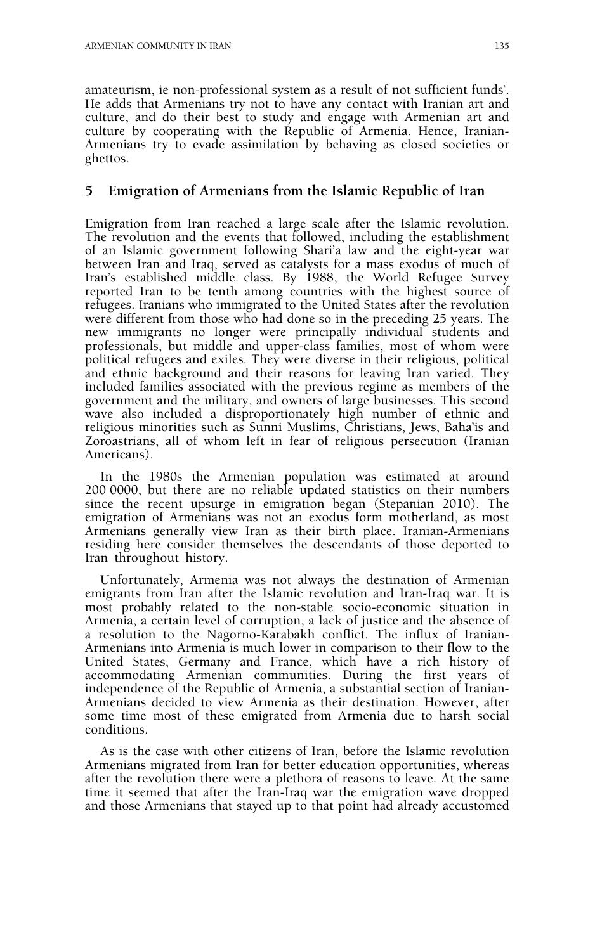amateurism, ie non-professional system as a result of not sufficient funds'. He adds that Armenians try not to have any contact with Iranian art and culture, and do their best to study and engage with Armenian art and culture by cooperating with the Republic of Armenia. Hence, Iranian-Armenians try to evade assimilation by behaving as closed societies or ghettos.

#### **5 Emigration of Armenians from the Islamic Republic of Iran**

Emigration from Iran reached a large scale after the Islamic revolution. The revolution and the events that followed, including the establishment of an Islamic government following Shari'a law and the eight-year war between Iran and Iraq, served as catalysts for a mass exodus of much of Iran's established middle class. By 1988, the World Refugee Survey reported Iran to be tenth among countries with the highest source of refugees. Iranians who immigrated to the United States after the revolution were different from those who had done so in the preceding 25 years. The new immigrants no longer were principally individual students and professionals, but middle and upper-class families, most of whom were political refugees and exiles. They were diverse in their religious, political and ethnic background and their reasons for leaving Iran varied. They included families associated with the previous regime as members of the government and the military, and owners of large businesses. This second wave also included a disproportionately high number of ethnic and religious minorities such as Sunni Muslims, Christians, Jews, Baha'is and Zoroastrians, all of whom left in fear of religious persecution (Iranian Americans).

In the 1980s the Armenian population was estimated at around 200 0000, but there are no reliable updated statistics on their numbers since the recent upsurge in emigration began (Stepanian 2010). The emigration of Armenians was not an exodus form motherland, as most Armenians generally view Iran as their birth place. Iranian-Armenians residing here consider themselves the descendants of those deported to Iran throughout history.

Unfortunately, Armenia was not always the destination of Armenian emigrants from Iran after the Islamic revolution and Iran-Iraq war. It is most probably related to the non-stable socio-economic situation in Armenia, a certain level of corruption, a lack of justice and the absence of a resolution to the Nagorno-Karabakh conflict. The influx of Iranian-Armenians into Armenia is much lower in comparison to their flow to the United States, Germany and France, which have a rich history of accommodating Armenian communities. During the first years of independence of the Republic of Armenia, a substantial section of Iranian-Armenians decided to view Armenia as their destination. However, after some time most of these emigrated from Armenia due to harsh social conditions.

As is the case with other citizens of Iran, before the Islamic revolution Armenians migrated from Iran for better education opportunities, whereas after the revolution there were a plethora of reasons to leave. At the same time it seemed that after the Iran-Iraq war the emigration wave dropped and those Armenians that stayed up to that point had already accustomed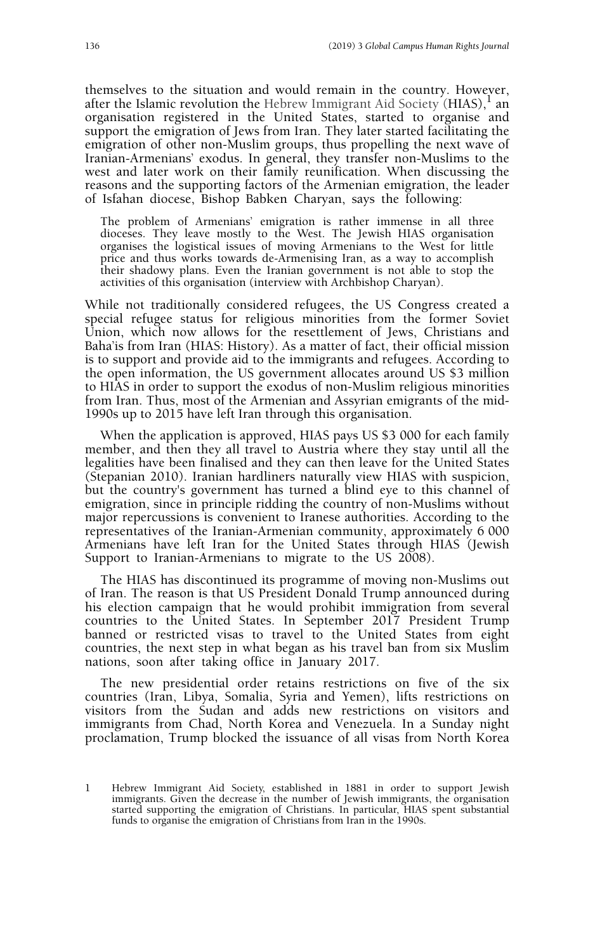themselves to the situation and would remain in the country. However, after the Islamic revolution the Hebrew Immigrant Aid Society (HIAS),  $\frac{1}{2}$  an organisation registered in the United States, started to organise and support the emigration of Jews from Iran. They later started facilitating the emigration of other non-Muslim groups, thus propelling the next wave of Iranian-Armenians' exodus. In general, they transfer non-Muslims to the west and later work on their family reunification. When discussing the reasons and the supporting factors of the Armenian emigration, the leader of Isfahan diocese, Bishop Babken Charyan, says the following:

The problem of Armenians' emigration is rather immense in all three dioceses. They leave mostly to the West. The Jewish HIAS organisation organises the logistical issues of moving Armenians to the West for little price and thus works towards de-Armenising Iran, as a way to accomplish their shadowy plans. Even the Iranian government is not able to stop the activities of this organisation (interview with Archbishop Charyan).

While not traditionally considered refugees, the US Congress created a special refugee status for religious minorities from the former Soviet Union, which now allows for the resettlement of Jews, Christians and Baha'is from Iran (HIAS: History). As a matter of fact, their official mission is to support and provide aid to the immigrants and refugees. According to the open information, the US government allocates around US \$3 million to HIAS in order to support the exodus of non-Muslim religious minorities from Iran. Thus, most of the Armenian and Assyrian emigrants of the mid-1990s up to 2015 have left Iran through this organisation.

When the application is approved, HIAS pays US \$3 000 for each family member, and then they all travel to Austria where they stay until all the legalities have been finalised and they can then leave for the United States (Stepanian 2010). Iranian hardliners naturally view HIAS with suspicion, but the country's government has turned a blind eye to this channel of emigration, since in principle ridding the country of non-Muslims without major repercussions is convenient to Iranese authorities. According to the representatives of the Iranian-Armenian community, approximately 6 000 Armenians have left Iran for the United States through HIAS (Jewish Support to Iranian-Armenians to migrate to the US 2008).

The HIAS has discontinued its programme of moving non-Muslims out of Iran. The reason is that US President Donald Trump announced during his election campaign that he would prohibit immigration from several countries to the United States. In September 2017 President Trump banned or restricted visas to travel to the United States from eight countries, the next step in what began as his travel ban from six Muslim nations, soon after taking office in January 2017.

The new presidential order retains restrictions on five of the six countries (Iran, Libya, Somalia, Syria and Yemen), lifts restrictions on visitors from the Sudan and adds new restrictions on visitors and immigrants from Chad, North Korea and Venezuela. In a Sunday night proclamation, Trump blocked the issuance of all visas from North Korea

<sup>1</sup> Hebrew Immigrant Aid Society, established in 1881 in order to support Jewish immigrants. Given the decrease in the number of Jewish immigrants, the organisation started supporting the emigration of Christians. In particular, HIAS spent substantial funds to organise the emigration of Christians from Iran in the 1990s.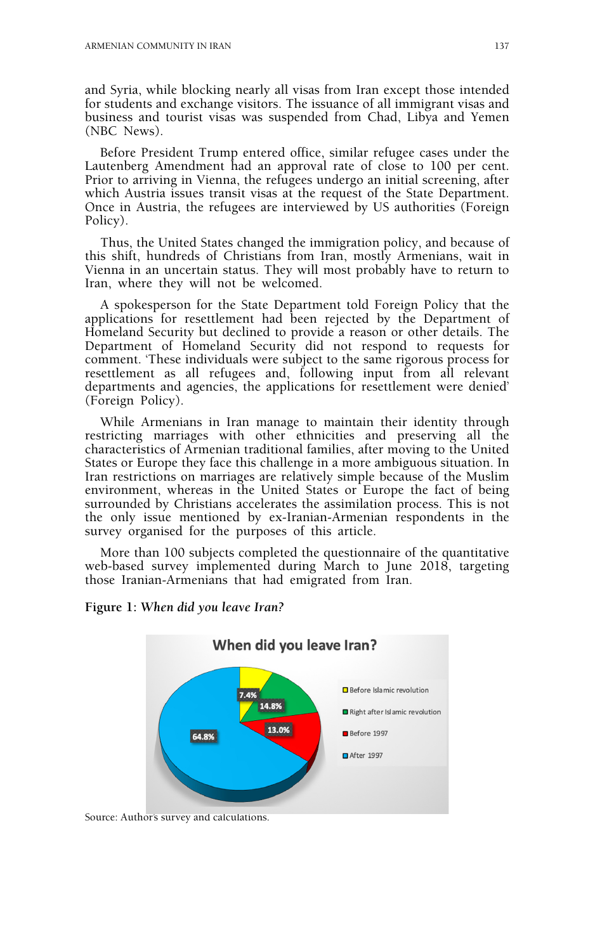and Syria, while blocking nearly all visas from Iran except those intended for students and exchange visitors. The issuance of all immigrant visas and business and tourist visas was suspended from Chad, Libya and Yemen (NBC News).

Before President Trump entered office, similar refugee cases under the Lautenberg Amendment had an approval rate of close to 100 per cent. Prior to arriving in Vienna, the refugees undergo an initial screening, after which Austria issues transit visas at the request of the State Department. Once in Austria, the refugees are interviewed by US authorities (Foreign Policy).

Thus, the United States changed the immigration policy, and because of this shift, hundreds of Christians from Iran, mostly Armenians, wait in Vienna in an uncertain status. They will most probably have to return to Iran, where they will not be welcomed.

A spokesperson for the State Department told Foreign Policy that the applications for resettlement had been rejected by the Department of Homeland Security but declined to provide a reason or other details. The Department of Homeland Security did not respond to requests for comment. 'These individuals were subject to the same rigorous process for resettlement as all refugees and, following input from all relevant departments and agencies, the applications for resettlement were denied' (Foreign Policy).

While Armenians in Iran manage to maintain their identity through restricting marriages with other ethnicities and preserving all the characteristics of Armenian traditional families, after moving to the United States or Europe they face this challenge in a more ambiguous situation. In Iran restrictions on marriages are relatively simple because of the Muslim environment, whereas in the United States or Europe the fact of being surrounded by Christians accelerates the assimilation process. This is not the only issue mentioned by ex-Iranian-Armenian respondents in the survey organised for the purposes of this article.

More than 100 subjects completed the questionnaire of the quantitative web-based survey implemented during March to June 2018, targeting those Iranian-Armenians that had emigrated from Iran.



#### **Figure 1:** *When did you leave Iran?*

Source: Author's survey and calculations.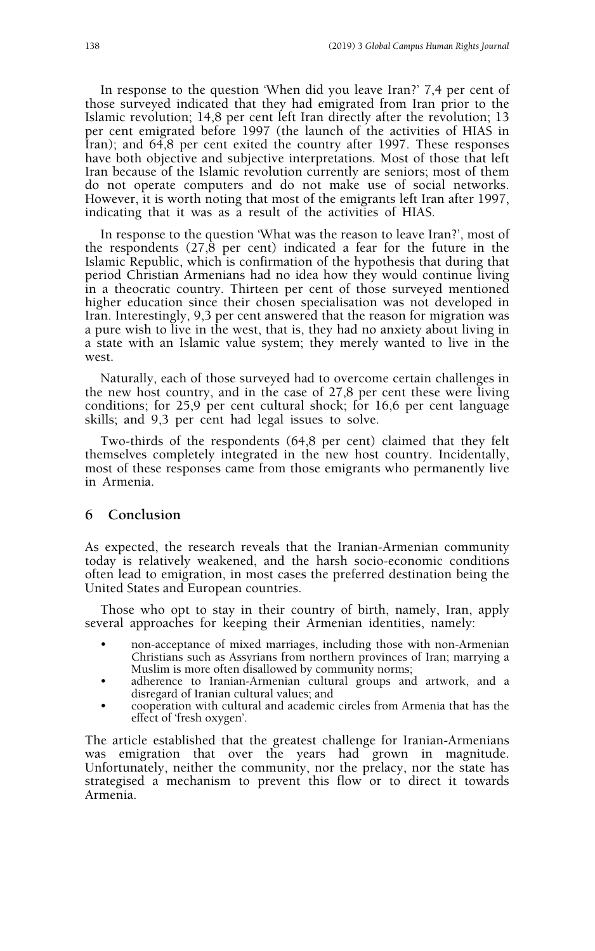In response to the question 'When did you leave Iran?' 7,4 per cent of those surveyed indicated that they had emigrated from Iran prior to the Islamic revolution; 14,8 per cent left Iran directly after the revolution; 13 per cent emigrated before 1997 (the launch of the activities of HIAS in Iran); and 64,8 per cent exited the country after 1997. These responses have both objective and subjective interpretations. Most of those that left Iran because of the Islamic revolution currently are seniors; most of them do not operate computers and do not make use of social networks. However, it is worth noting that most of the emigrants left Iran after 1997, indicating that it was as a result of the activities of HIAS.

In response to the question 'What was the reason to leave Iran?', most of the respondents (27,8 per cent) indicated a fear for the future in the Islamic Republic, which is confirmation of the hypothesis that during that period Christian Armenians had no idea how they would continue living in a theocratic country. Thirteen per cent of those surveyed mentioned higher education since their chosen specialisation was not developed in Iran. Interestingly, 9,3 per cent answered that the reason for migration was a pure wish to live in the west, that is, they had no anxiety about living in a state with an Islamic value system; they merely wanted to live in the west.

Naturally, each of those surveyed had to overcome certain challenges in the new host country, and in the case of 27,8 per cent these were living conditions; for 25,9 per cent cultural shock; for 16,6 per cent language skills; and 9,3 per cent had legal issues to solve.

Two-thirds of the respondents (64,8 per cent) claimed that they felt themselves completely integrated in the new host country. Incidentally, most of these responses came from those emigrants who permanently live in Armenia.

### **6 Conclusion**

As expected, the research reveals that the Iranian-Armenian community today is relatively weakened, and the harsh socio-economic conditions often lead to emigration, in most cases the preferred destination being the United States and European countries.

Those who opt to stay in their country of birth, namely, Iran, apply several approaches for keeping their Armenian identities, namely:

- non-acceptance of mixed marriages, including those with non-Armenian Christians such as Assyrians from northern provinces of Iran; marrying a Muslim is more often disallowed by community norms;
- adherence to Iranian-Armenian cultural groups and artwork, and a disregard of Iranian cultural values; and
- cooperation with cultural and academic circles from Armenia that has the effect of 'fresh oxygen'.

The article established that the greatest challenge for Iranian-Armenians was emigration that over the years had grown in magnitude. Unfortunately, neither the community, nor the prelacy, nor the state has strategised a mechanism to prevent this flow or to direct it towards Armenia.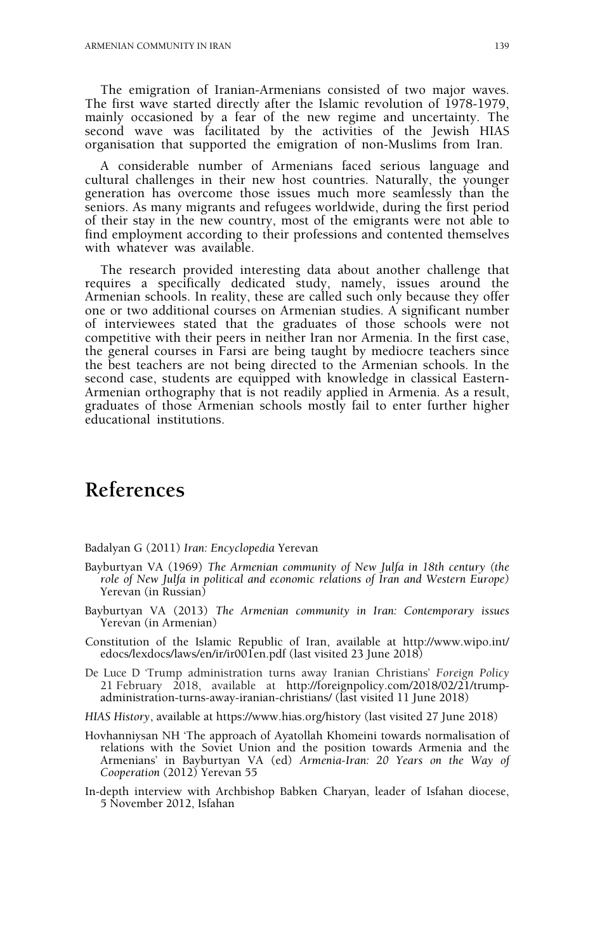The emigration of Iranian-Armenians consisted of two major waves. The first wave started directly after the Islamic revolution of 1978-1979, mainly occasioned by a fear of the new regime and uncertainty. The second wave was facilitated by the activities of the Jewish HIAS organisation that supported the emigration of non-Muslims from Iran.

A considerable number of Armenians faced serious language and cultural challenges in their new host countries. Naturally, the younger generation has overcome those issues much more seamlessly than the seniors. As many migrants and refugees worldwide, during the first period of their stay in the new country, most of the emigrants were not able to find employment according to their professions and contented themselves with whatever was available.

The research provided interesting data about another challenge that requires a specifically dedicated study, namely, issues around the Armenian schools. In reality, these are called such only because they offer one or two additional courses on Armenian studies. A significant number of interviewees stated that the graduates of those schools were not competitive with their peers in neither Iran nor Armenia. In the first case, the general courses in Farsi are being taught by mediocre teachers since the best teachers are not being directed to the Armenian schools. In the second case, students are equipped with knowledge in classical Eastern-Armenian orthography that is not readily applied in Armenia. As a result, graduates of those Armenian schools mostly fail to enter further higher educational institutions.

# **References**

Badalyan G (2011) *Iran: Encyclopedia* Yerevan

- Bayburtyan VA (1969) *The Armenian community of New Julfa in 18th century (the role of New Julfa in political and economic relations of Iran and Western Europe)* Yerevan (in Russian)
- Bayburtyan VA (2013) *The Armenian community in Iran: Contemporary issues* Yerevan (in Armenian)
- Constitution of the Islamic Republic of Iran, available at http://www.wipo.int/ edocs/lexdocs/laws/en/ir/ir001en.pdf (last visited 23 June 2018)
- De Luce D 'Trump administration turns away Iranian Christians' *Foreign Policy* 21 February 2018, available at http://foreignpolicy.com/2018/02/21/trumpadministration-turns-away-iranian-christians/ (last visited 11 June 2018)
- *HIAS History*, available at https://www.hias.org/history (last visited 27 June 2018)
- Hovhanniysan NH 'The approach of Ayatollah Khomeini towards normalisation of relations with the Soviet Union and the position towards Armenia and the Armenians' in Bayburtyan VA (ed) *Armenia-Iran: 20 Years on the Way of Cooperation* (2012) Yerevan 55
- In-depth interview with Archbishop Babken Charyan, leader of Isfahan diocese, 5 November 2012, Isfahan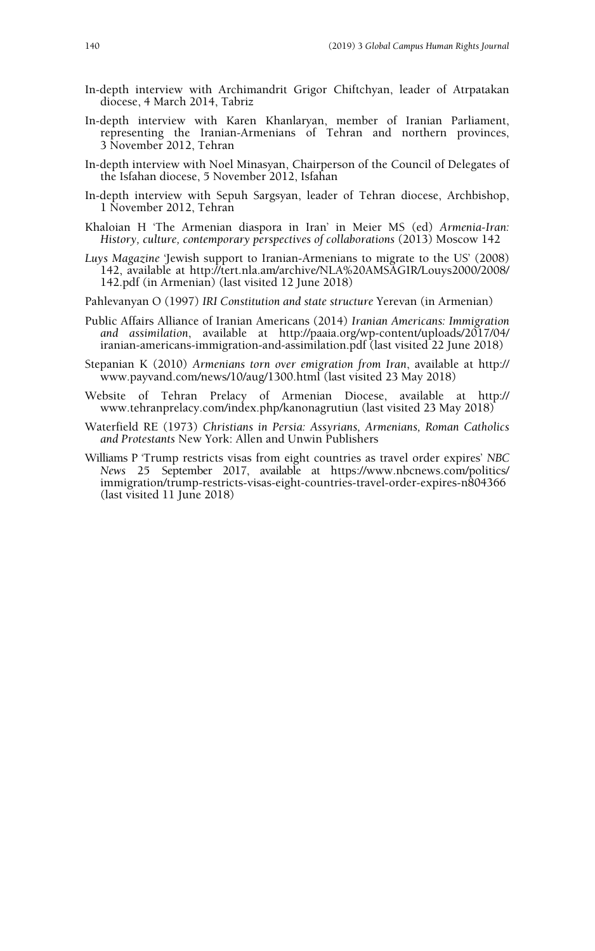- In-depth interview with Archimandrit Grigor Chiftchyan, leader of Atrpatakan diocese, 4 March 2014, Tabriz
- In-depth interview with Karen Khanlaryan, member of Iranian Parliament, representing the Iranian-Armenians of Tehran and northern provinces, 3 November 2012, Tehran
- In-depth interview with Noel Minasyan, Chairperson of the Council of Delegates of the Isfahan diocese, 5 November 2012, Isfahan
- In-depth interview with Sepuh Sargsyan, leader of Tehran diocese, Archbishop, 1 November 2012, Tehran
- Khaloian H 'The Armenian diaspora in Iran' in Meier MS (ed) *Armenia-Iran: History, culture, contemporary perspectives of collaborations* (2013) Moscow 142
- *Luys Magazine* 'Jewish support to Iranian-Armenians to migrate to the US' (2008) 142, available at http://tert.nla.am/archive/NLA%20AMSAGIR/Louys2000/2008/ 142.pdf (in Armenian) (last visited 12 June 2018)
- Pahlevanyan O (1997) *IRI Constitution and state structure* Yerevan (in Armenian)
- Public Affairs Alliance of Iranian Americans (2014) *Iranian Americans: Immigration and assimilation*, available at http://paaia.org/wp-content/uploads/2017/04/ iranian-americans-immigration-and-assimilation.pdf (last visited 22 June 2018)
- Stepanian K (2010) *Armenians torn over emigration from Iran*, available at http:// www.payvand.com/news/10/aug/1300.html (last visited 23 May 2018)
- Website of Tehran Prelacy of Armenian Diocese, available at http:// www.tehranprelacy.com/index.php/kanonagrutiun (last visited 23 May 2018)
- Waterfield RE (1973) *Christians in Persia: Assyrians, Armenians, Roman Catholics and Protestants* New York: Allen and Unwin Publishers
- Williams P 'Trump restricts visas from eight countries as travel order expires' *NBC News* 25 September 2017, available at https://www.nbcnews.com/politics/ immigration/trump-restricts-visas-eight-countries-travel-order-expires-n804366 (last visited 11 June 2018)